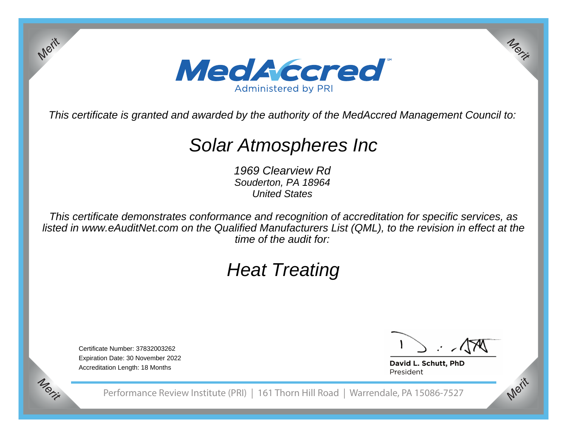

This certificate is granted and awarded by the authority of the MedAccred Management Council to:

# Solar Atmospheres Inc

1969 Clearview Rd Souderton, PA 18964United States

This certificate demonstrates conformance and recognition of accreditation for specific services, as listed in www.eAuditNet.com on the Qualified Manufacturers List (QML), to the revision in effect at thetime of the audit for:

# Heat Treating

Certificate Number: 37832003262 Expiration Date: 30 November 2022Accreditation Length: 18 Months

*Merit*

*Merit*

*Merit*

*Merit*

David L. Schutt, PhD President

Performance Review Institute (PRI) | 161 Thorn Hill Road | Warrendale, PA 15086-7527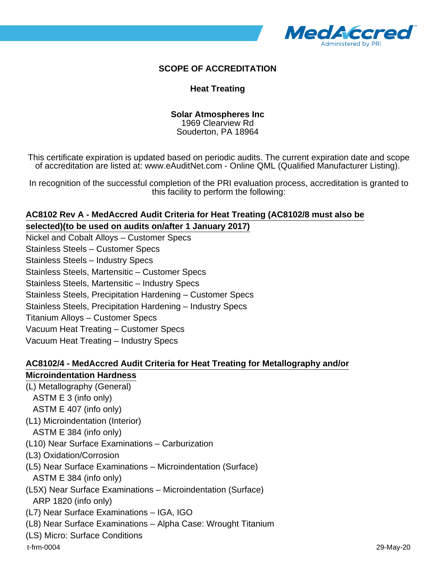

## **SCOPE OF ACCREDITATION**

### **Heat Treating**

#### **Solar Atmospheres Inc** 1969 Clearview Rd Souderton, PA 18964

This certificate expiration is updated based on periodic audits. The current expiration date and scope of accreditation are listed at: www.eAuditNet.com - Online QML (Qualified Manufacturer Listing).

In recognition of the successful completion of the PRI evaluation process, accreditation is granted to this facility to perform the following:

## **AC8102 Rev A - MedAccred Audit Criteria for Heat Treating (AC8102/8 must also be selected)(to be used on audits on/after 1 January 2017)**

Nickel and Cobalt Alloys – Customer Specs Stainless Steels – Customer Specs Stainless Steels – Industry Specs Stainless Steels, Martensitic – Customer Specs Stainless Steels, Martensitic – Industry Specs Stainless Steels, Precipitation Hardening – Customer Specs Stainless Steels, Precipitation Hardening – Industry Specs Titanium Alloys – Customer Specs Vacuum Heat Treating – Customer Specs Vacuum Heat Treating – Industry Specs

### **AC8102/4 - MedAccred Audit Criteria for Heat Treating for Metallography and/or Microindentation Hardness**

(L) Metallography (General)

- ASTM E 3 (info only)
- ASTM E 407 (info only)
- (L1) Microindentation (Interior)

ASTM E 384 (info only)

- (L10) Near Surface Examinations Carburization
- (L3) Oxidation/Corrosion
- (L5) Near Surface Examinations Microindentation (Surface) ASTM E 384 (info only)
- (L5X) Near Surface Examinations Microindentation (Surface)

ARP 1820 (info only)

- (L7) Near Surface Examinations IGA, IGO
- (L8) Near Surface Examinations Alpha Case: Wrought Titanium
- (LS) Micro: Surface Conditions

t-frm-0004 29-May-20